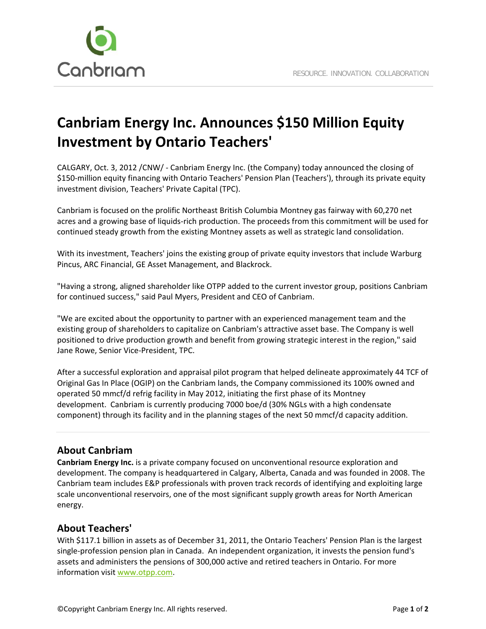

# **Canbriam Energy Inc. Announces \$150 Million Equity Investment by Ontario Teachers'**

CALGARY, Oct. 3, 2012 /CNW/ ‐ Canbriam Energy Inc. (the Company) today announced the closing of \$150-million equity financing with Ontario Teachers' Pension Plan (Teachers'), through its private equity investment division, Teachers' Private Capital (TPC).

Canbriam is focused on the prolific Northeast British Columbia Montney gas fairway with 60,270 net acres and a growing base of liquids‐rich production. The proceeds from this commitment will be used for continued steady growth from the existing Montney assets as well as strategic land consolidation.

With its investment, Teachers' joins the existing group of private equity investors that include Warburg Pincus, ARC Financial, GE Asset Management, and Blackrock.

"Having a strong, aligned shareholder like OTPP added to the current investor group, positions Canbriam for continued success," said Paul Myers, President and CEO of Canbriam.

"We are excited about the opportunity to partner with an experienced management team and the existing group of shareholders to capitalize on Canbriam's attractive asset base. The Company is well positioned to drive production growth and benefit from growing strategic interest in the region," said Jane Rowe, Senior Vice‐President, TPC.

After a successful exploration and appraisal pilot program that helped delineate approximately 44 TCF of Original Gas In Place (OGIP) on the Canbriam lands, the Company commissioned its 100% owned and operated 50 mmcf/d refrig facility in May 2012, initiating the first phase of its Montney development. Canbriam is currently producing 7000 boe/d (30% NGLs with a high condensate component) through its facility and in the planning stages of the next 50 mmcf/d capacity addition.

## **About Canbriam**

**Canbriam Energy Inc.** is a private company focused on unconventional resource exploration and development. The company is headquartered in Calgary, Alberta, Canada and was founded in 2008. The Canbriam team includes E&P professionals with proven track records of identifying and exploiting large scale unconventional reservoirs, one of the most significant supply growth areas for North American energy.

## **About Teachers'**

With \$117.1 billion in assets as of December 31, 2011, the Ontario Teachers' Pension Plan is the largest single‐profession pension plan in Canada. An independent organization, it invests the pension fund's assets and administers the pensions of 300,000 active and retired teachers in Ontario. For more information visit www.otpp.com.